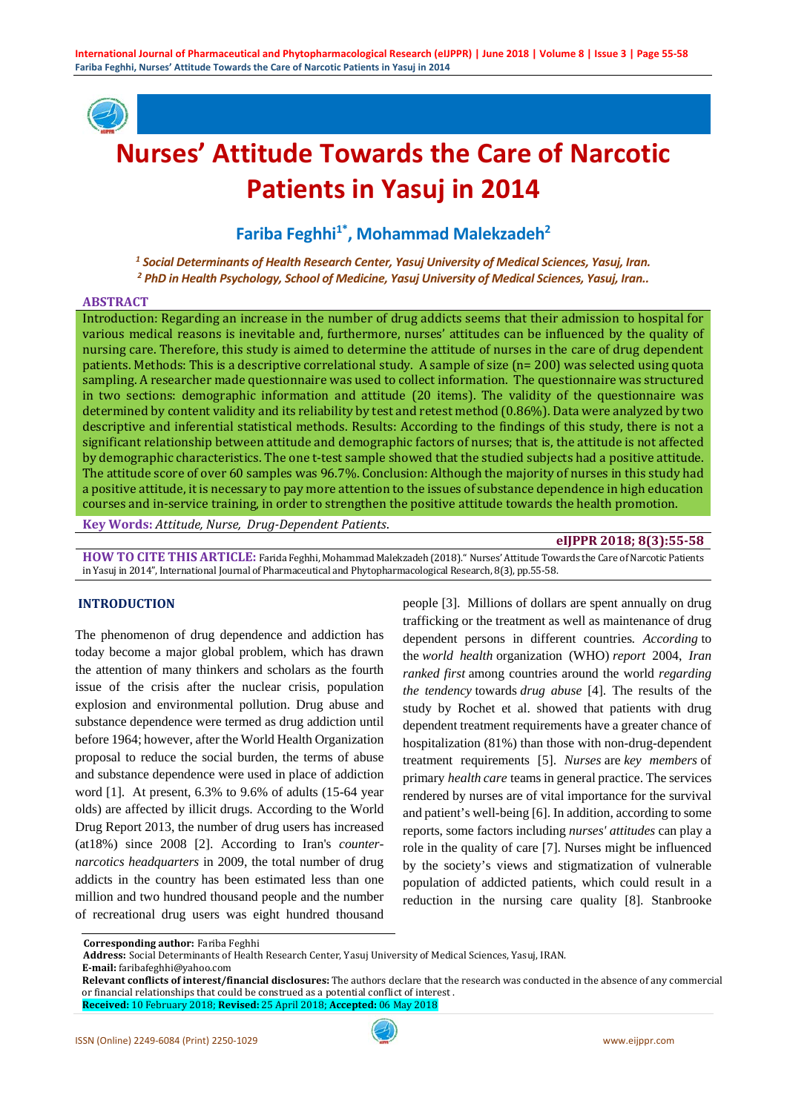

# **Nurses' Attitude Towards the Care of Narcotic Patients in Yasuj in 2014**

Fariba Feghhi<sup>1\*</sup>, Mohammad Malekzadeh<sup>2</sup>

*<sup>1</sup> Social Determinants of Health Research Center, Yasuj University of Medical Sciences, Yasuj, Iran. <sup>2</sup> PhD in Health Psychology, School of Medicine, Yasuj University of Medical Sciences, Yasuj, Iran..*

#### **ABSTRACT**

Introduction: Regarding an increase in the number of drug addicts seems that their admission to hospital for various medical reasons is inevitable and, furthermore, nurses' attitudes can be influenced by the quality of nursing care. Therefore, this study is aimed to determine the attitude of nurses in the care of drug dependent patients. Methods: This is a descriptive correlational study. A sample of size (n= 200) was selected using quota sampling. A researcher made questionnaire was used to collect information. The questionnaire was structured in two sections: demographic information and attitude (20 items). The validity of the questionnaire was determined by content validity and its reliability by test and retest method (0.86%). Data were analyzed by two descriptive and inferential statistical methods. Results: According to the findings of this study, there is not a significant relationship between attitude and demographic factors of nurses; that is, the attitude is not affected by demographic characteristics. The one t-test sample showed that the studied subjects had a positive attitude. The attitude score of over 60 samples was 96.7%. Conclusion: Although the majority of nurses in this study had a positive attitude, it is necessary to pay more attention to the issues of substance dependence in high education courses and in-service training, in order to strengthen the positive attitude towards the health promotion.

**Key Words:** *Attitude, Nurse, Drug-Dependent Patients*.

### **eIJPPR 2018; 8(3):55-58**

**HOW TO CITE THIS ARTICLE:** Farida Feghhi, Mohammad Malekzadeh (2018)." Nurses' Attitude Towards the Care of Narcotic Patients in Yasuj in 2014", International Journal of Pharmaceutical and Phytopharmacological Research, 8(3), pp.55-58.

#### **INTRODUCTION**

The phenomenon of drug dependence and addiction has today become a major global problem, which has drawn the attention of many thinkers and scholars as the fourth issue of the crisis after the nuclear crisis, population explosion and environmental pollution. Drug abuse and substance dependence were termed as drug addiction until before 1964; however, after the World Health Organization proposal to reduce the social burden, the terms of abuse and substance dependence were used in place of addiction word [1]. At present, 6.3% to 9.6% of adults (15-64 year olds) are affected by illicit drugs. According to the World Drug Report 2013, the number of drug users has increased (at18%) since 2008 [2]. According to Iran's *counternarcotics headquarters* in 2009, the total number of drug addicts in the country has been estimated less than one million and two hundred thousand people and the number of recreational drug users was eight hundred thousand

people [3]. Millions of dollars are spent annually on drug trafficking or the treatment as well as maintenance of drug dependent persons in different countries*. According* to the *world health* organization (WHO) *report* 2004, *Iran ranked first* among countries around the world *regarding the tendency* towards *drug abuse* [4]. The results of the study by Rochet et al. showed that patients with drug dependent treatment requirements have a greater chance of hospitalization (81%) than those with non-drug-dependent treatment requirements [5]. *Nurses* are *key members* of primary *health care* teams in general practice. The services rendered by nurses are of vital importance for the survival and patient's well-being [6]. In addition, according to some reports, some factors including *nurses' attitudes* can play a role in the quality of care [7]. Nurses might be influenced by the society's views and stigmatization of vulnerable population of addicted patients, which could result in a reduction in the nursing care quality [8]. Stanbrooke

**Corresponding author:** Fariba Feghhi

**Address:** Social Determinants of Health Research Center, Yasuj University of Medical Sciences, Yasuj, IRAN.

**E-mail:** faribafeghhi@yahoo.com

**Relevant conflicts of interest/financial disclosures:** The authors declare that the research was conducted in the absence of any commercial or financial relationships that could be construed as a potential conflict of interest .

**Received:** 10 February 2018; **Revised:** 25 April 2018; **Accepted:** 06 May 2018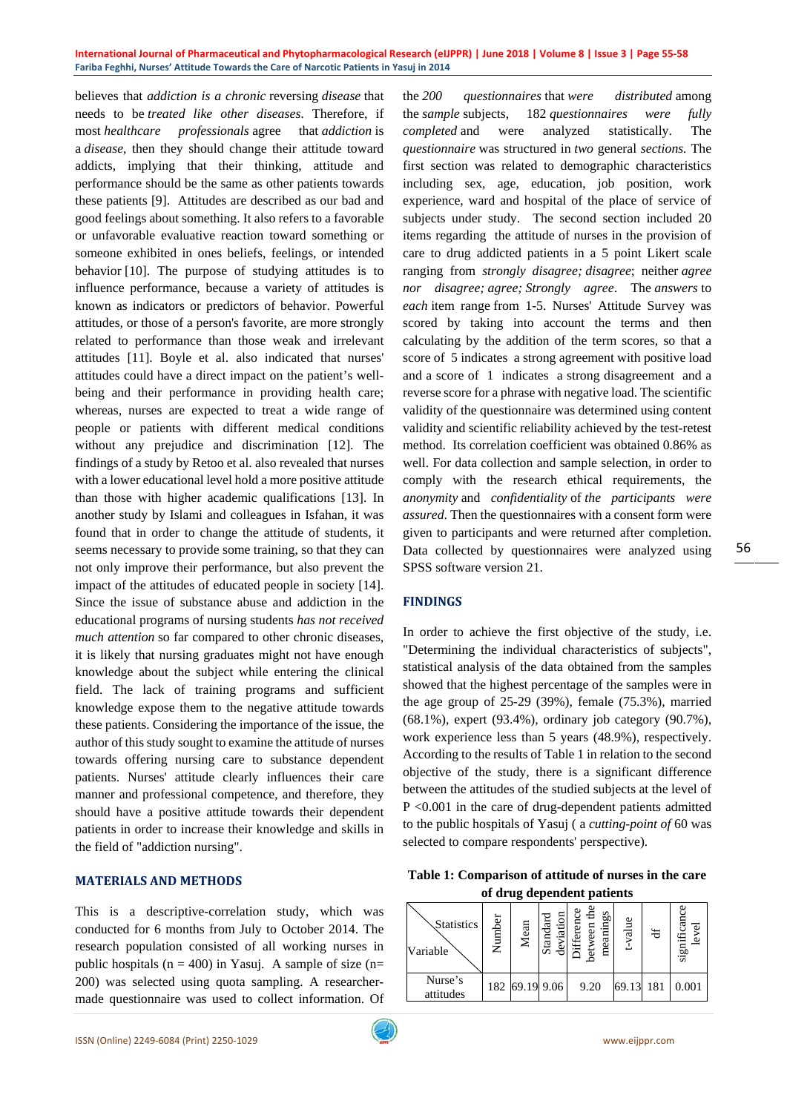#### **International Journal of Pharmaceutical and Phytopharmacological Research (eIJPPR) | June 2018 | Volume 8 | Issue 3 | Page 55-58 Fariba Feghhi, Nurses' Attitude Towards the Care of Narcotic Patients in Yasuj in 2014**

believes that *addiction is a chronic* reversing *disease* that needs to be *treated like other diseases*. Therefore, if most *healthcare professionals* agree that *addiction* is a *disease*, then they should change their attitude toward addicts, implying that their thinking, attitude and performance should be the same as other patients towards these patients [9]. Attitudes are described as our bad and good feelings about something. It also refers to a favorable or unfavorable evaluative reaction toward something or someone exhibited in ones beliefs, feelings, or intended behavior [10]. The purpose of studying attitudes is to influence performance, because a variety of attitudes is known as indicators or predictors of behavior. Powerful attitudes, or those of a person's favorite, are more strongly related to performance than those weak and irrelevant attitudes [11]. Boyle et al. also indicated that nurses' attitudes could have a direct impact on the patient's wellbeing and their performance in providing health care; whereas, nurses are expected to treat a wide range of people or patients with different medical conditions without any prejudice and discrimination [12]. The findings of a study by Retoo et al. also revealed that nurses with a lower educational level hold a more positive attitude than those with higher academic qualifications [13]. In another study by Islami and colleagues in Isfahan, it was found that in order to change the attitude of students, it seems necessary to provide some training, so that they can not only improve their performance, but also prevent the impact of the attitudes of educated people in society [14]. Since the issue of substance abuse and addiction in the educational programs of nursing students *has not received much attention* so far compared to other chronic diseases, it is likely that nursing graduates might not have enough knowledge about the subject while entering the clinical field. The lack of training programs and sufficient knowledge expose them to the negative attitude towards these patients. Considering the importance of the issue, the author of this study sought to examine the attitude of nurses towards offering nursing care to substance dependent patients. Nurses' attitude clearly influences their care manner and professional competence, and therefore, they should have a positive attitude towards their dependent patients in order to increase their knowledge and skills in the field of "addiction nursing".

#### **MATERIALS AND METHODS**

This is a descriptive-correlation study, which was conducted for 6 months from July to October 2014. The research population consisted of all working nurses in public hospitals ( $n = 400$ ) in Yasuj. A sample of size ( $n=$ 200) was selected using quota sampling. A researchermade questionnaire was used to collect information. Of

the *200 questionnaires* that *were distributed* among the *sample* subjects, 182 *questionnaires were fully completed* and were analyzed statistically. The *questionnaire* was structured in *two* general *sections.* The first section was related to demographic characteristics including sex, age, education, job position, work experience, ward and hospital of the place of service of subjects under study. The second section included 20 items regarding the attitude of nurses in the provision of care to drug addicted patients in a 5 point Likert scale ranging from *strongly disagree; disagree*; neither *agree nor disagree; agree; Strongly agree*. The *answers* to *each* item range from 1-5. Nurses' Attitude Survey was scored by taking into account the terms and then calculating by the addition of the term scores, so that a score of 5 indicates a strong agreement with positive load and a score of 1 indicates a strong disagreement and a reverse score for a phrase with negative load. The scientific validity of the questionnaire was determined using content validity and scientific reliability achieved by the test-retest method. Its correlation coefficient was obtained 0.86% as well. For data collection and sample selection, in order to comply with the research ethical requirements, the *anonymity* and *confidentiality* of *the participants were assured*. Then the questionnaires with a consent form were given to participants and were returned after completion. Data collected by questionnaires were analyzed using SPSS software version 21.

#### **FINDINGS**

In order to achieve the first objective of the study, i.e. "Determining the individual characteristics of subjects", statistical analysis of the data obtained from the samples showed that the highest percentage of the samples were in the age group of 25-29 (39%), female (75.3%), married (68.1%), expert (93.4%), ordinary job category (90.7%), work experience less than 5 years (48.9%), respectively. According to the results of Table 1 in relation to the second objective of the study, there is a significant difference between the attitudes of the studied subjects at the level of P <0.001 in the care of drug-dependent patients admitted to the public hospitals of Yasuj ( a *cutting-point of* 60 was selected to compare respondents' perspective).

**Table 1: Comparison of attitude of nurses in the care of drug dependent patients**

| Statistics<br>Variable | Number | Mean           | deviation<br>dard<br>$\sin$ | Herence<br>6g<br>meanin<br>etween | -value | ਖ਼  | significan<br>نه |
|------------------------|--------|----------------|-----------------------------|-----------------------------------|--------|-----|------------------|
| Nurse's<br>attitudes   |        | 182 69.19 9.06 |                             | 9.20                              | 69.13  | 181 | 0.001            |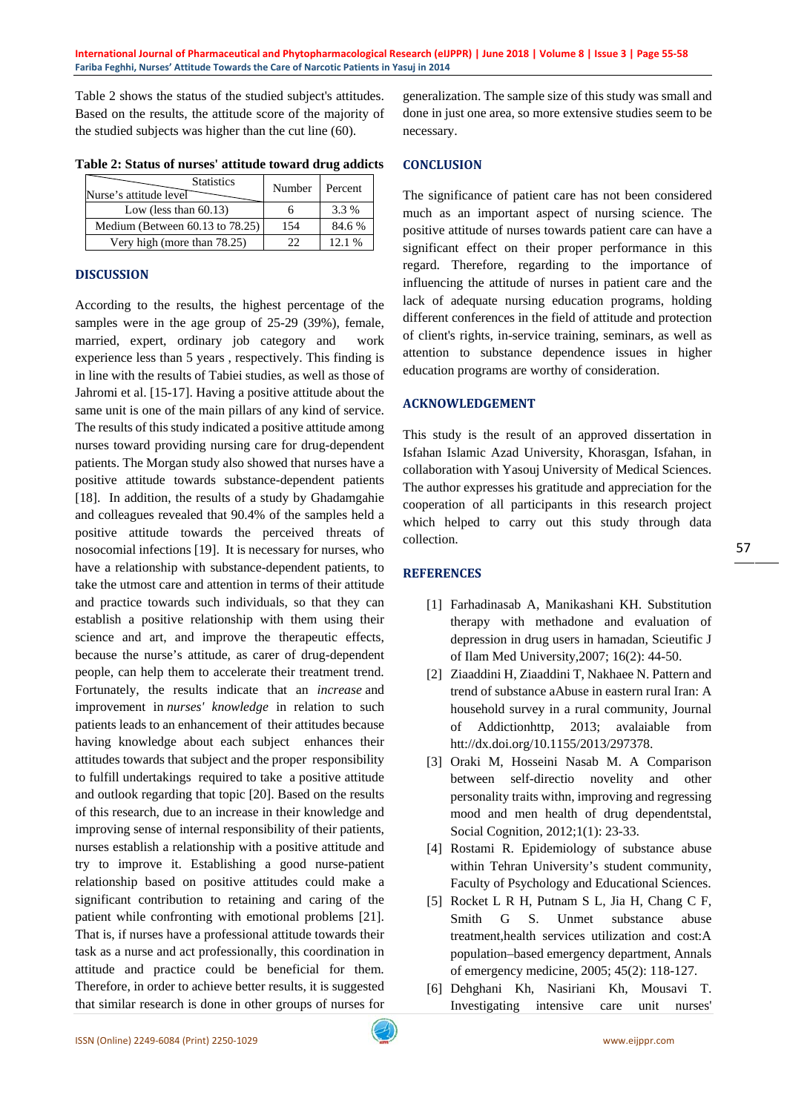Table 2 shows the status of the studied subject's attitudes. Based on the results, the attitude score of the majority of the studied subjects was higher than the cut line (60).

| <b>Statistics</b><br>Nurse's attitude level | Number | Percent  |
|---------------------------------------------|--------|----------|
| Low (less than $60.13$ )                    |        | 3.3 %    |
| Medium (Between $60.13$ to $78.25$ )        | 154    | 84.6 %   |
| Very high (more than 78.25)                 | つつ     | $12.1\%$ |

**Table 2: Status of nurses' attitude toward drug addicts**

# **DISCUSSION**

According to the results, the highest percentage of the samples were in the age group of 25-29 (39%), female, married, expert, ordinary job category and work experience less than 5 years , respectively. This finding is in line with the results of Tabiei studies, as well as those of Jahromi et al. [15-17]. Having a positive attitude about the same unit is one of the main pillars of any kind of service. The results of this study indicated a positive attitude among nurses toward providing nursing care for drug-dependent patients. The Morgan study also showed that nurses have a positive attitude towards substance-dependent patients [18]. In addition, the results of a study by Ghadamgahie and colleagues revealed that 90.4% of the samples held a positive attitude towards the perceived threats of nosocomial infections [19]. It is necessary for nurses, who have a relationship with substance-dependent patients, to take the utmost care and attention in terms of their attitude and practice towards such individuals, so that they can establish a positive relationship with them using their science and art, and improve the therapeutic effects, because the nurse's attitude, as carer of drug-dependent people, can help them to accelerate their treatment trend. Fortunately, the results indicate that an *increase* and improvement in *nurses' knowledge* in relation to such patients leads to an enhancement of their attitudes because having knowledge about each subject enhances their attitudes towards that subject and the proper responsibility to fulfill undertakings required to take a positive attitude and outlook regarding that topic [20]. Based on the results of this research, due to an increase in their knowledge and improving sense of internal responsibility of their patients, nurses establish a relationship with a positive attitude and try to improve it. Establishing a good nurse-patient relationship based on positive attitudes could make a significant contribution to retaining and caring of the patient while confronting with emotional problems [21]. That is, if nurses have a professional attitude towards their task as a nurse and act professionally, this coordination in attitude and practice could be beneficial for them. Therefore, in order to achieve better results, it is suggested that similar research is done in other groups of nurses for

generalization. The sample size of this study was small and done in just one area, so more extensive studies seem to be necessary.

# **CONCLUSION**

The significance of patient care has not been considered much as an important aspect of nursing science. The positive attitude of nurses towards patient care can have a significant effect on their proper performance in this regard. Therefore, regarding to the importance of influencing the attitude of nurses in patient care and the lack of adequate nursing education programs, holding different conferences in the field of attitude and protection of client's rights, in-service training, seminars, as well as attention to substance dependence issues in higher education programs are worthy of consideration.

# **ACKNOWLEDGEMENT**

This study is the result of an approved dissertation in Isfahan Islamic Azad University, Khorasgan, Isfahan, in collaboration with Yasouj University of Medical Sciences. The author expresses his gratitude and appreciation for the cooperation of all participants in this research project which helped to carry out this study through data collection.

# **REFERENCES**

- [1] Farhadinasab A, Manikashani KH. Substitution therapy with methadone and evaluation of depression in drug users in hamadan, Scieutific J of Ilam Med University,2007; 16(2): 44-50.
- [2] Ziaaddini H, Ziaaddini T, Nakhaee N. Pattern and trend of substance aAbuse in eastern rural Iran: A household survey in a rural community, Journal of Addictionhttp, 2013; avalaiable from htt://dx.doi.org/10.1155/2013/297378.
- [3] Oraki M, Hosseini Nasab M. A Comparison between self-directio novelity and other personality traits withn, improving and regressing mood and men health of drug dependentstal, Social Cognition, 2012;1(1): 23-33.
- [4] Rostami R. Epidemiology of substance abuse within Tehran University's student community, Faculty of Psychology and Educational Sciences.
- [5] Rocket L R H, Putnam S L, Jia H, Chang C F, Smith G S. Unmet substance abuse treatment,health services utilization and cost:A population–based emergency department, Annals of emergency medicine, 2005; 45(2): 118-127.
- [6] Dehghani Kh, Nasiriani Kh, Mousavi T. Investigating intensive care unit nurses'